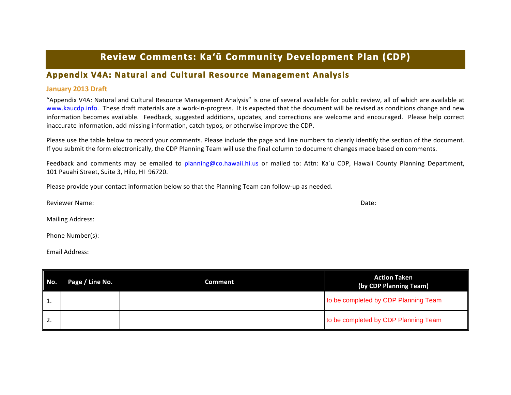## Review Comments: Ka'ū Community Development Plan (CDP)

## **Appendix V4A: Natural and Cultural Resource Management Analysis**

## **January 2013 Draft**

"Appendix V4A: Natural and Cultural Resource Management Analysis" is one of several available for public review, all of which are available at www.kaucdp.info. These draft materials are a work-in-progress. It is expected that the document will be revised as conditions change and new information becomes available. Feedback, suggested additions, updates, and corrections are welcome and encouraged. Please help correct inaccurate information, add missing information, catch typos, or otherwise improve the CDP.

Please use the table below to record your comments. Please include the page and line numbers to clearly identify the section of the document. If you submit the form electronically, the CDP Planning Team will use the final column to document changes made based on comments.

Feedback and comments may be emailed to planning@co.hawaii.hi.us or mailed to: Attn: Ka`u CDP, Hawaii County Planning Department, 101 Pauahi Street, Suite 3, Hilo, HI 96720.

Please provide your contact information below so that the Planning Team can follow-up as needed.

Reviewer Name: Date:

Mailing Address:

Phone Number(s):

Email Address:

| No.              | Page / Line No. | <b>Comment</b> | <b>Action Taken</b><br>(by CDP Planning Team) |
|------------------|-----------------|----------------|-----------------------------------------------|
| 1.               |                 |                | to be completed by CDP Planning Team          |
| $\overline{2}$ . |                 |                | to be completed by CDP Planning Team          |